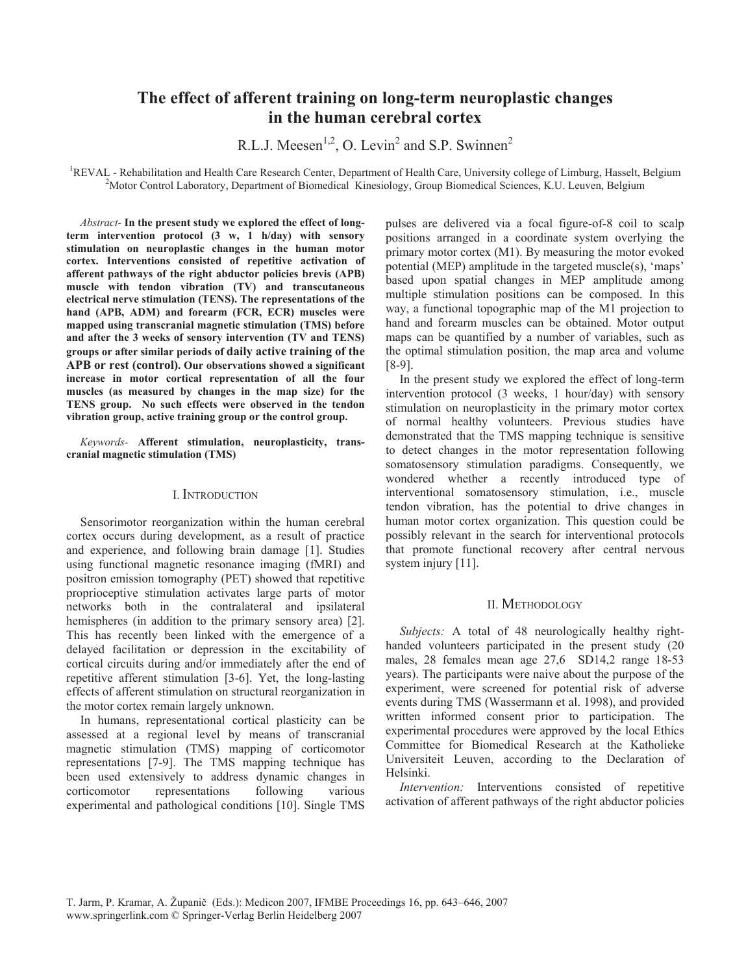# **The effect of afferent training on long-term neuroplastic changes in the human cerebral cortex**

R.L.J. Meesen<sup>1,2</sup>, O. Levin<sup>2</sup> and S.P. Swinnen<sup>2</sup>

<sup>1</sup>REVAL - Rehabilitation and Health Care Research Center, Department of Health Care, University college of Limburg, Hasselt, Belgium <sup>2</sup>Meter Central Lebentery, Department of Biomediael, Kinesialogy, Group Biomediael Sci <sup>2</sup>Motor Control Laboratory, Department of Biomedical Kinesiology, Group Biomedical Sciences, K.U. Leuven, Belgium

*Abstract-* **In the present study we explored the effect of longterm intervention protocol (3 w, 1 h/day) with sensory stimulation on neuroplastic changes in the human motor cortex. Interventions consisted of repetitive activation of afferent pathways of the right abductor policies brevis (APB) muscle with tendon vibration (TV) and transcutaneous electrical nerve stimulation (TENS). The representations of the hand (APB, ADM) and forearm (FCR, ECR) muscles were mapped using transcranial magnetic stimulation (TMS) before and after the 3 weeks of sensory intervention (TV and TENS) groups or after similar periods of daily active training of the APB or rest (control). Our observations showed a significant increase in motor cortical representation of all the four muscles (as measured by changes in the map size) for the TENS group. No such effects were observed in the tendon vibration group, active training group or the control group.** 

*Keywords-* **Afferent stimulation, neuroplasticity, transcranial magnetic stimulation (TMS)** 

#### I. INTRODUCTION

Sensorimotor reorganization within the human cerebral cortex occurs during development, as a result of practice and experience, and following brain damage [1]. Studies using functional magnetic resonance imaging (fMRI) and positron emission tomography (PET) showed that repetitive proprioceptive stimulation activates large parts of motor networks both in the contralateral and ipsilateral hemispheres (in addition to the primary sensory area) [2]. This has recently been linked with the emergence of a delayed facilitation or depression in the excitability of cortical circuits during and/or immediately after the end of repetitive afferent stimulation [3-6]. Yet, the long-lasting effects of afferent stimulation on structural reorganization in the motor cortex remain largely unknown.

In humans, representational cortical plasticity can be assessed at a regional level by means of transcranial magnetic stimulation (TMS) mapping of corticomotor representations [7-9]. The TMS mapping technique has been used extensively to address dynamic changes in corticomotor representations following various experimental and pathological conditions [10]. Single TMS

pulses are delivered via a focal figure-of-8 coil to scalp positions arranged in a coordinate system overlying the primary motor cortex (M1). By measuring the motor evoked potential (MEP) amplitude in the targeted muscle(s), 'maps' based upon spatial changes in MEP amplitude among multiple stimulation positions can be composed. In this way, a functional topographic map of the M1 projection to hand and forearm muscles can be obtained. Motor output maps can be quantified by a number of variables, such as the optimal stimulation position, the map area and volume [8-9].

In the present study we explored the effect of long-term intervention protocol (3 weeks, 1 hour/day) with sensory stimulation on neuroplasticity in the primary motor cortex of normal healthy volunteers. Previous studies have demonstrated that the TMS mapping technique is sensitive to detect changes in the motor representation following somatosensory stimulation paradigms. Consequently, we wondered whether a recently introduced type of interventional somatosensory stimulation, i.e., muscle tendon vibration, has the potential to drive changes in human motor cortex organization. This question could be possibly relevant in the search for interventional protocols that promote functional recovery after central nervous system injury [11].

## II. METHODOLOGY

*Subjects:* A total of 48 neurologically healthy righthanded volunteers participated in the present study (20 males, 28 females mean age 27,6 SD14,2 range 18-53 years). The participants were naive about the purpose of the experiment, were screened for potential risk of adverse events during TMS (Wassermann et al. 1998), and provided written informed consent prior to participation. The experimental procedures were approved by the local Ethics Committee for Biomedical Research at the Katholieke Universiteit Leuven, according to the Declaration of Helsinki.

*Intervention:* Interventions consisted of repetitive activation of afferent pathways of the right abductor policies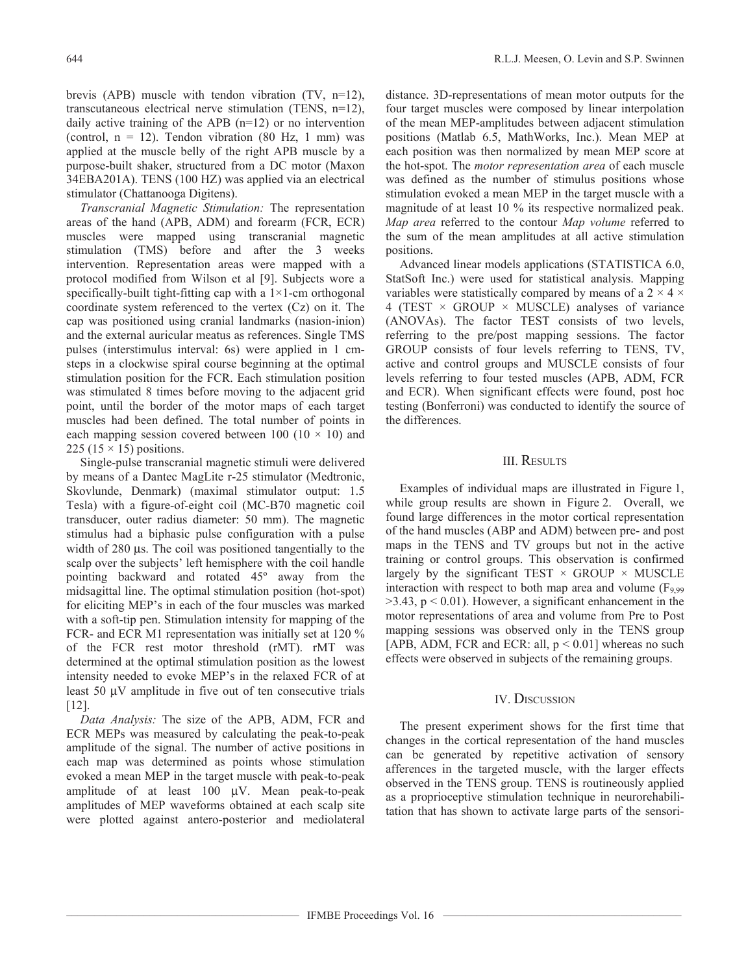brevis (APB) muscle with tendon vibration (TV, n=12), transcutaneous electrical nerve stimulation (TENS, n=12), daily active training of the APB (n=12) or no intervention (control,  $n = 12$ ). Tendon vibration (80 Hz, 1 mm) was applied at the muscle belly of the right APB muscle by a purpose-built shaker, structured from a DC motor (Maxon 34EBA201A). TENS (100 HZ) was applied via an electrical stimulator (Chattanooga Digitens).

*Transcranial Magnetic Stimulation:* The representation areas of the hand (APB, ADM) and forearm (FCR, ECR) muscles were mapped using transcranial magnetic stimulation (TMS) before and after the 3 weeks intervention. Representation areas were mapped with a protocol modified from Wilson et al [9]. Subjects wore a specifically-built tight-fitting cap with a  $1\times1$ -cm orthogonal coordinate system referenced to the vertex (Cz) on it. The cap was positioned using cranial landmarks (nasion-inion) and the external auricular meatus as references. Single TMS pulses (interstimulus interval: 6s) were applied in 1 cmsteps in a clockwise spiral course beginning at the optimal stimulation position for the FCR. Each stimulation position was stimulated 8 times before moving to the adjacent grid point, until the border of the motor maps of each target muscles had been defined. The total number of points in each mapping session covered between 100 (10  $\times$  10) and 225 (15  $\times$  15) positions.

Single-pulse transcranial magnetic stimuli were delivered by means of a Dantec MagLite r-25 stimulator (Medtronic, Skovlunde, Denmark) (maximal stimulator output: 1.5 Tesla) with a figure-of-eight coil (MC-B70 magnetic coil transducer, outer radius diameter: 50 mm). The magnetic stimulus had a biphasic pulse configuration with a pulse width of 280 μs. The coil was positioned tangentially to the scalp over the subjects' left hemisphere with the coil handle pointing backward and rotated 45º away from the midsagittal line. The optimal stimulation position (hot-spot) for eliciting MEP's in each of the four muscles was marked with a soft-tip pen. Stimulation intensity for mapping of the FCR- and ECR M1 representation was initially set at 120 % of the FCR rest motor threshold (rMT). rMT was determined at the optimal stimulation position as the lowest intensity needed to evoke MEP's in the relaxed FCR of at least 50 μV amplitude in five out of ten consecutive trials [12].

*Data Analysis:* The size of the APB, ADM, FCR and ECR MEPs was measured by calculating the peak-to-peak amplitude of the signal. The number of active positions in each map was determined as points whose stimulation evoked a mean MEP in the target muscle with peak-to-peak amplitude of at least 100 μV. Mean peak-to-peak amplitudes of MEP waveforms obtained at each scalp site were plotted against antero-posterior and mediolateral

distance. 3D-representations of mean motor outputs for the four target muscles were composed by linear interpolation of the mean MEP-amplitudes between adjacent stimulation positions (Matlab 6.5, MathWorks, Inc.). Mean MEP at each position was then normalized by mean MEP score at the hot-spot. The *motor representation area* of each muscle was defined as the number of stimulus positions whose stimulation evoked a mean MEP in the target muscle with a magnitude of at least 10 % its respective normalized peak. *Map area* referred to the contour *Map volume* referred to the sum of the mean amplitudes at all active stimulation positions.

Advanced linear models applications (STATISTICA 6.0, StatSoft Inc.) were used for statistical analysis. Mapping variables were statistically compared by means of a  $2 \times 4 \times$ 4 (TEST  $\times$  GROUP  $\times$  MUSCLE) analyses of variance (ANOVAs). The factor TEST consists of two levels, referring to the pre/post mapping sessions. The factor GROUP consists of four levels referring to TENS, TV, active and control groups and MUSCLE consists of four levels referring to four tested muscles (APB, ADM, FCR and ECR). When significant effects were found, post hoc testing (Bonferroni) was conducted to identify the source of the differences.

## III. RESULTS

Examples of individual maps are illustrated in Figure 1, while group results are shown in Figure 2. Overall, we found large differences in the motor cortical representation of the hand muscles (ABP and ADM) between pre- and post maps in the TENS and TV groups but not in the active training or control groups. This observation is confirmed largely by the significant TEST  $\times$  GROUP  $\times$  MUSCLE interaction with respect to both map area and volume ( $F_{9,99}$ )  $>$ 3.43, p < 0.01). However, a significant enhancement in the motor representations of area and volume from Pre to Post mapping sessions was observed only in the TENS group [APB, ADM, FCR and ECR: all,  $p < 0.01$ ] whereas no such effects were observed in subjects of the remaining groups.

### IV. DISCUSSION

The present experiment shows for the first time that changes in the cortical representation of the hand muscles can be generated by repetitive activation of sensory afferences in the targeted muscle, with the larger effects observed in the TENS group. TENS is routineously applied as a proprioceptive stimulation technique in neurorehabilitation that has shown to activate large parts of the sensori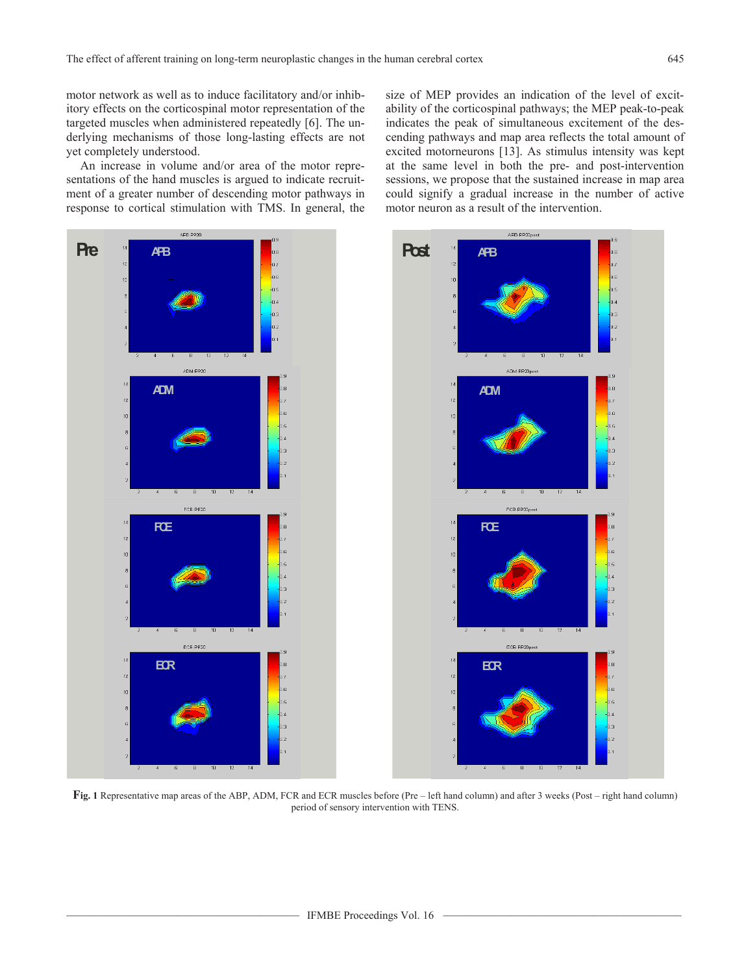motor network as well as to induce facilitatory and/or inhibitory effects on the corticospinal motor representation of the targeted muscles when administered repeatedly [6]. The underlying mechanisms of those long-lasting effects are not yet completely understood.

An increase in volume and/or area of the motor representations of the hand muscles is argued to indicate recruitment of a greater number of descending motor pathways in response to cortical stimulation with TMS. In general, the size of MEP provides an indication of the level of excitability of the corticospinal pathways; the MEP peak-to-peak indicates the peak of simultaneous excitement of the descending pathways and map area reflects the total amount of excited motorneurons [13]. As stimulus intensity was kept at the same level in both the pre- and post-intervention sessions, we propose that the sustained increase in map area could signify a gradual increase in the number of active motor neuron as a result of the intervention.



**Fig. 1** Representative map areas of the ABP, ADM, FCR and ECR muscles before (Pre – left hand column) and after 3 weeks (Post – right hand column) period of sensory intervention with TENS.